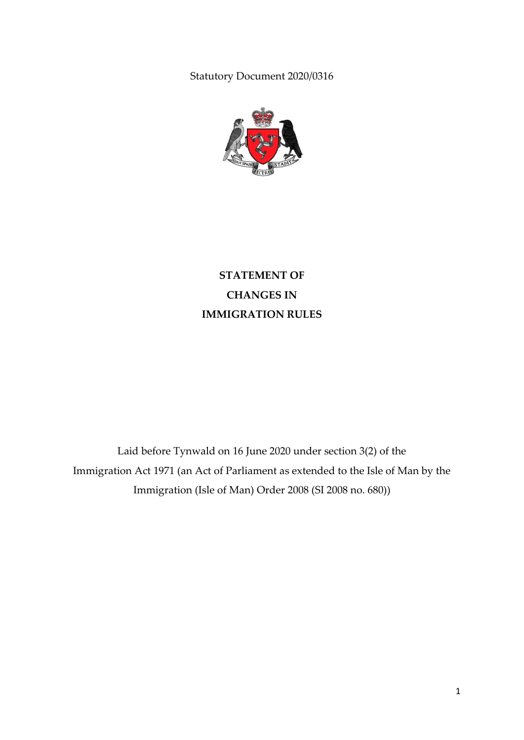Statutory Document 2020/0316



**STATEMENT OF CHANGES IN IMMIGRATION RULES**

Laid before Tynwald on 16 June 2020 under section 3(2) of the Immigration Act 1971 (an Act of Parliament as extended to the Isle of Man by the Immigration (Isle of Man) Order 2008 (SI 2008 no. 680))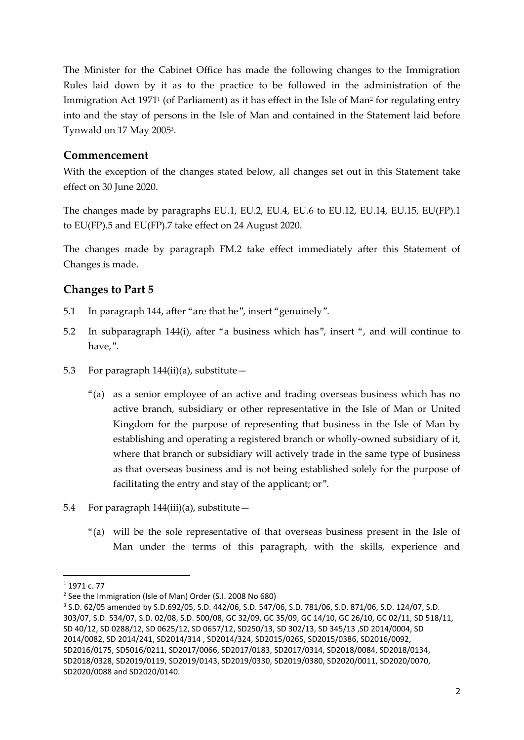The Minister for the Cabinet Office has made the following changes to the Immigration Rules laid down by it as to the practice to be followed in the administration of the Immigration Act 1971<sup>1</sup> (of Parliament) as it has effect in the Isle of Man<sup>2</sup> for regulating entry into and the stay of persons in the Isle of Man and contained in the Statement laid before Tynwald on 17 May 2005<sup>3</sup> .

## **Commencement**

With the exception of the changes stated below, all changes set out in this Statement take effect on 30 June 2020.

The changes made by paragraphs EU.1, EU.2, EU.4, EU.6 to EU.12, EU.14, EU.15, EU(FP).1 to EU(FP).5 and EU(FP).7 take effect on 24 August 2020.

The changes made by paragraph FM.2 take effect immediately after this Statement of Changes is made.

## **Changes to Part 5**

- 5.1 In paragraph 144, after "are that he", insert "genuinely".
- 5.2 In subparagraph 144(i), after "a business which has", insert ", and will continue to have,".
- 5.3 For paragraph  $144(ii)(a)$ , substitute -
	- "(a) as a senior employee of an active and trading overseas business which has no active branch, subsidiary or other representative in the Isle of Man or United Kingdom for the purpose of representing that business in the Isle of Man by establishing and operating a registered branch or wholly-owned subsidiary of it, where that branch or subsidiary will actively trade in the same type of business as that overseas business and is not being established solely for the purpose of facilitating the entry and stay of the applicant; or".
- 5.4 For paragraph  $144(iii)(a)$ , substitute -
	- "(a) will be the sole representative of that overseas business present in the Isle of Man under the terms of this paragraph, with the skills, experience and

1

<sup>1</sup> 1971 c. 77

<sup>&</sup>lt;sup>2</sup> See the Immigration (Isle of Man) Order (S.I. 2008 No 680)

<sup>3</sup> S.D. 62/05 amended by S.D.692/05, S.D. 442/06, S.D. 547/06, S.D. 781/06, S.D. 871/06, S.D. 124/07, S.D. 303/07, S.D. 534/07, S.D. 02/08, S.D. 500/08, GC 32/09, GC 35/09, GC 14/10, GC 26/10, GC 02/11, SD 518/11, SD 40/12, SD 0288/12, SD 0625/12, SD 0657/12, SD250/13, SD 302/13, SD 345/13 ,SD 2014/0004, SD 2014/0082, SD 2014/241, SD2014/314 , SD2014/324, SD2015/0265, SD2015/0386, SD2016/0092, SD2016/0175, SD5016/0211, SD2017/0066, SD2017/0183, SD2017/0314, SD2018/0084, SD2018/0134, SD2018/0328, SD2019/0119, SD2019/0143, SD2019/0330, SD2019/0380, SD2020/0011, SD2020/0070, SD2020/0088 and SD2020/0140.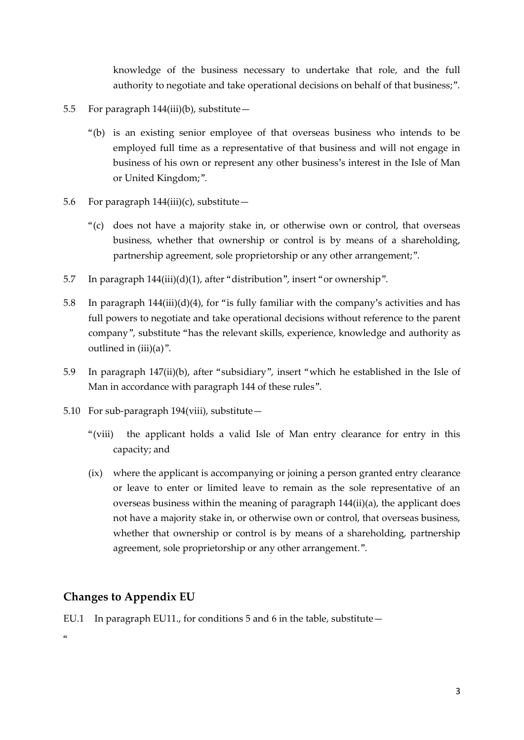knowledge of the business necessary to undertake that role, and the full authority to negotiate and take operational decisions on behalf of that business;".

- 5.5 For paragraph 144(iii)(b), substitute—
	- "(b) is an existing senior employee of that overseas business who intends to be employed full time as a representative of that business and will not engage in business of his own or represent any other business's interest in the Isle of Man or United Kingdom;".
- 5.6 For paragraph  $144(iii)(c)$ , substitute -
	- "(c) does not have a majority stake in, or otherwise own or control, that overseas business, whether that ownership or control is by means of a shareholding, partnership agreement, sole proprietorship or any other arrangement;".
- 5.7 In paragraph 144(iii)(d)(1), after "distribution", insert "or ownership".
- 5.8 In paragraph  $144(iii)(d)(4)$ , for "is fully familiar with the company's activities and has full powers to negotiate and take operational decisions without reference to the parent company", substitute "has the relevant skills, experience, knowledge and authority as outlined in (iii)(a)".
- 5.9 In paragraph 147(ii)(b), after "subsidiary", insert "which he established in the Isle of Man in accordance with paragraph 144 of these rules".
- 5.10 For sub-paragraph 194(viii), substitute—
	- "(viii) the applicant holds a valid Isle of Man entry clearance for entry in this capacity; and
	- (ix) where the applicant is accompanying or joining a person granted entry clearance or leave to enter or limited leave to remain as the sole representative of an overseas business within the meaning of paragraph 144(ii)(a), the applicant does not have a majority stake in, or otherwise own or control, that overseas business, whether that ownership or control is by means of a shareholding, partnership agreement, sole proprietorship or any other arrangement.".

## **Changes to Appendix EU**

EU.1 In paragraph EU11., for conditions 5 and 6 in the table, substitute—

 $\alpha$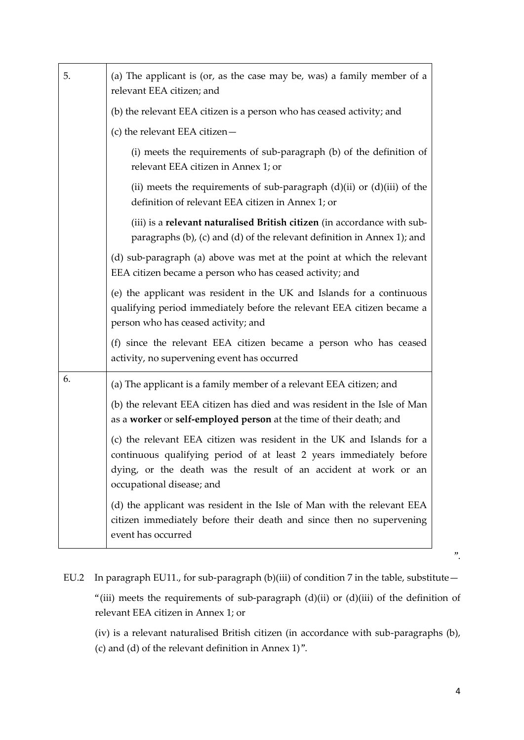| 5. | (a) The applicant is (or, as the case may be, was) a family member of a<br>relevant EEA citizen; and                                                                                                                                         |
|----|----------------------------------------------------------------------------------------------------------------------------------------------------------------------------------------------------------------------------------------------|
|    | (b) the relevant EEA citizen is a person who has ceased activity; and                                                                                                                                                                        |
|    | (c) the relevant EEA citizen $-$                                                                                                                                                                                                             |
|    | (i) meets the requirements of sub-paragraph (b) of the definition of<br>relevant EEA citizen in Annex 1; or                                                                                                                                  |
|    | (ii) meets the requirements of sub-paragraph $(d)(ii)$ or $(d)(iii)$ of the<br>definition of relevant EEA citizen in Annex 1; or                                                                                                             |
|    | (iii) is a relevant naturalised British citizen (in accordance with sub-<br>paragraphs (b), (c) and (d) of the relevant definition in Annex 1); and                                                                                          |
|    | (d) sub-paragraph (a) above was met at the point at which the relevant<br>EEA citizen became a person who has ceased activity; and                                                                                                           |
|    | (e) the applicant was resident in the UK and Islands for a continuous<br>qualifying period immediately before the relevant EEA citizen became a<br>person who has ceased activity; and                                                       |
|    | (f) since the relevant EEA citizen became a person who has ceased<br>activity, no supervening event has occurred                                                                                                                             |
| 6. | (a) The applicant is a family member of a relevant EEA citizen; and                                                                                                                                                                          |
|    | (b) the relevant EEA citizen has died and was resident in the Isle of Man<br>as a worker or self-employed person at the time of their death; and                                                                                             |
|    | (c) the relevant EEA citizen was resident in the UK and Islands for a<br>continuous qualifying period of at least 2 years immediately before<br>dying, or the death was the result of an accident at work or an<br>occupational disease; and |
|    | (d) the applicant was resident in the Isle of Man with the relevant EEA<br>citizen immediately before their death and since then no supervening<br>event has occurred                                                                        |

EU.2 In paragraph EU11., for sub-paragraph (b)(iii) of condition 7 in the table, substitute -"(iii) meets the requirements of sub-paragraph  $(d)$ (ii) or  $(d)$ (iii) of the definition of relevant EEA citizen in Annex 1; or

(iv) is a relevant naturalised British citizen (in accordance with sub-paragraphs (b), (c) and (d) of the relevant definition in Annex 1)".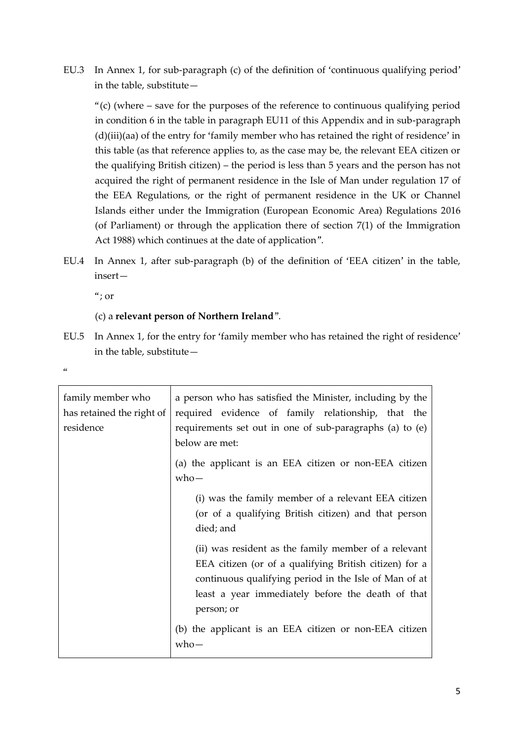EU.3 In Annex 1, for sub-paragraph (c) of the definition of 'continuous qualifying period' in the table, substitute—

"(c) (where – save for the purposes of the reference to continuous qualifying period in condition 6 in the table in paragraph EU11 of this Appendix and in sub-paragraph (d)(iii)(aa) of the entry for 'family member who has retained the right of residence' in this table (as that reference applies to, as the case may be, the relevant EEA citizen or the qualifying British citizen) – the period is less than 5 years and the person has not acquired the right of permanent residence in the Isle of Man under regulation 17 of the EEA Regulations, or the right of permanent residence in the UK or Channel Islands either under the Immigration (European Economic Area) Regulations 2016 (of Parliament) or through the application there of section 7(1) of the Immigration Act 1988) which continues at the date of application".

EU.4 In Annex 1, after sub-paragraph (b) of the definition of 'EEA citizen' in the table, insert—

 $\alpha$ ; or

## (c) a **relevant person of Northern Ireland**".

EU.5 In Annex 1, for the entry for 'family member who has retained the right of residence' in the table, substitute—

 $\alpha$ 

| family member who<br>has retained the right of<br>residence | a person who has satisfied the Minister, including by the<br>required evidence of family relationship, that the<br>requirements set out in one of sub-paragraphs (a) to (e)                                                                |
|-------------------------------------------------------------|--------------------------------------------------------------------------------------------------------------------------------------------------------------------------------------------------------------------------------------------|
|                                                             | below are met:                                                                                                                                                                                                                             |
|                                                             | (a) the applicant is an EEA citizen or non-EEA citizen<br>$who-$                                                                                                                                                                           |
|                                                             | (i) was the family member of a relevant EEA citizen<br>(or of a qualifying British citizen) and that person<br>died; and                                                                                                                   |
|                                                             | (ii) was resident as the family member of a relevant<br>EEA citizen (or of a qualifying British citizen) for a<br>continuous qualifying period in the Isle of Man of at<br>least a year immediately before the death of that<br>person; or |
|                                                             | (b) the applicant is an EEA citizen or non-EEA citizen<br>who—                                                                                                                                                                             |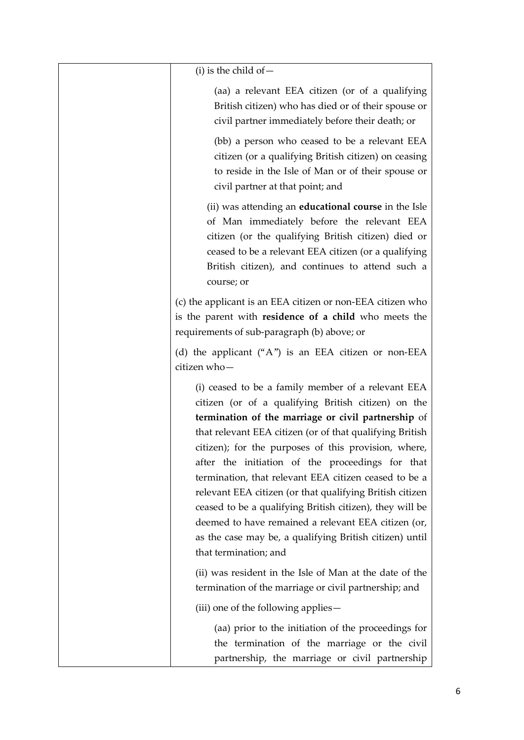| $(i)$ is the child of $-$                                                                                                                                                                                                                                                                                                                                                                                                                                                                                                                                                                                                                                            |
|----------------------------------------------------------------------------------------------------------------------------------------------------------------------------------------------------------------------------------------------------------------------------------------------------------------------------------------------------------------------------------------------------------------------------------------------------------------------------------------------------------------------------------------------------------------------------------------------------------------------------------------------------------------------|
| (aa) a relevant EEA citizen (or of a qualifying<br>British citizen) who has died or of their spouse or<br>civil partner immediately before their death; or                                                                                                                                                                                                                                                                                                                                                                                                                                                                                                           |
| (bb) a person who ceased to be a relevant EEA<br>citizen (or a qualifying British citizen) on ceasing<br>to reside in the Isle of Man or of their spouse or<br>civil partner at that point; and                                                                                                                                                                                                                                                                                                                                                                                                                                                                      |
| (ii) was attending an <b>educational course</b> in the Isle<br>of Man immediately before the relevant EEA<br>citizen (or the qualifying British citizen) died or<br>ceased to be a relevant EEA citizen (or a qualifying<br>British citizen), and continues to attend such a<br>course; or                                                                                                                                                                                                                                                                                                                                                                           |
| (c) the applicant is an EEA citizen or non-EEA citizen who<br>is the parent with residence of a child who meets the<br>requirements of sub-paragraph (b) above; or                                                                                                                                                                                                                                                                                                                                                                                                                                                                                                   |
| (d) the applicant $(4^{\prime\prime})$ is an EEA citizen or non-EEA<br>citizen who-                                                                                                                                                                                                                                                                                                                                                                                                                                                                                                                                                                                  |
| (i) ceased to be a family member of a relevant EEA<br>citizen (or of a qualifying British citizen) on the<br>termination of the marriage or civil partnership of<br>that relevant EEA citizen (or of that qualifying British<br>citizen); for the purposes of this provision, where,<br>after the initiation of the proceedings for that<br>termination, that relevant EEA citizen ceased to be a<br>relevant EEA citizen (or that qualifying British citizen<br>ceased to be a qualifying British citizen), they will be<br>deemed to have remained a relevant EEA citizen (or,<br>as the case may be, a qualifying British citizen) until<br>that termination; and |
| (ii) was resident in the Isle of Man at the date of the<br>termination of the marriage or civil partnership; and                                                                                                                                                                                                                                                                                                                                                                                                                                                                                                                                                     |
| (iii) one of the following applies -                                                                                                                                                                                                                                                                                                                                                                                                                                                                                                                                                                                                                                 |
| (aa) prior to the initiation of the proceedings for<br>the termination of the marriage or the civil<br>partnership, the marriage or civil partnership                                                                                                                                                                                                                                                                                                                                                                                                                                                                                                                |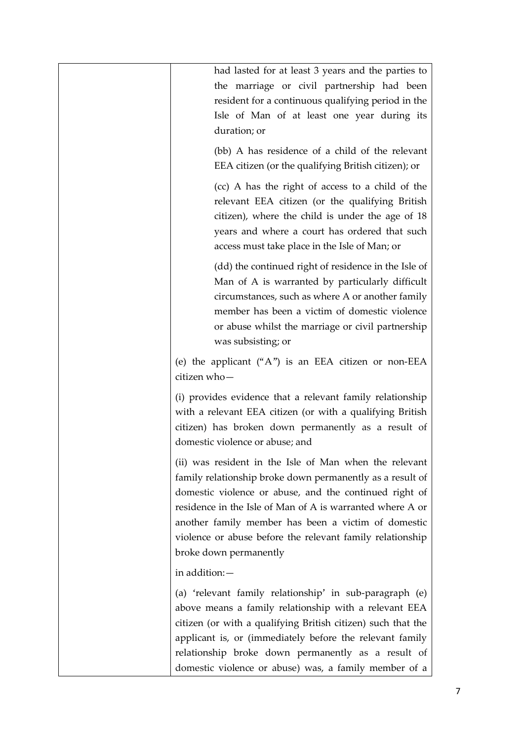| had lasted for at least 3 years and the parties to<br>the marriage or civil partnership had been<br>resident for a continuous qualifying period in the<br>Isle of Man of at least one year during its<br>duration; or                                                                                                                                                                    |
|------------------------------------------------------------------------------------------------------------------------------------------------------------------------------------------------------------------------------------------------------------------------------------------------------------------------------------------------------------------------------------------|
| (bb) A has residence of a child of the relevant<br>EEA citizen (or the qualifying British citizen); or                                                                                                                                                                                                                                                                                   |
| (cc) A has the right of access to a child of the<br>relevant EEA citizen (or the qualifying British<br>citizen), where the child is under the age of 18<br>years and where a court has ordered that such<br>access must take place in the Isle of Man; or                                                                                                                                |
| (dd) the continued right of residence in the Isle of<br>Man of A is warranted by particularly difficult<br>circumstances, such as where A or another family<br>member has been a victim of domestic violence<br>or abuse whilst the marriage or civil partnership<br>was subsisting; or                                                                                                  |
| (e) the applicant $("A")$ is an EEA citizen or non-EEA<br>citizen who-                                                                                                                                                                                                                                                                                                                   |
| (i) provides evidence that a relevant family relationship<br>with a relevant EEA citizen (or with a qualifying British<br>citizen) has broken down permanently as a result of<br>domestic violence or abuse; and                                                                                                                                                                         |
| (ii) was resident in the Isle of Man when the relevant<br>family relationship broke down permanently as a result of<br>domestic violence or abuse, and the continued right of<br>residence in the Isle of Man of A is warranted where A or<br>another family member has been a victim of domestic<br>violence or abuse before the relevant family relationship<br>broke down permanently |
| in addition: -                                                                                                                                                                                                                                                                                                                                                                           |
| (a) 'relevant family relationship' in sub-paragraph (e)<br>above means a family relationship with a relevant EEA<br>citizen (or with a qualifying British citizen) such that the<br>applicant is, or (immediately before the relevant family<br>relationship broke down permanently as a result of                                                                                       |
| domestic violence or abuse) was, a family member of a                                                                                                                                                                                                                                                                                                                                    |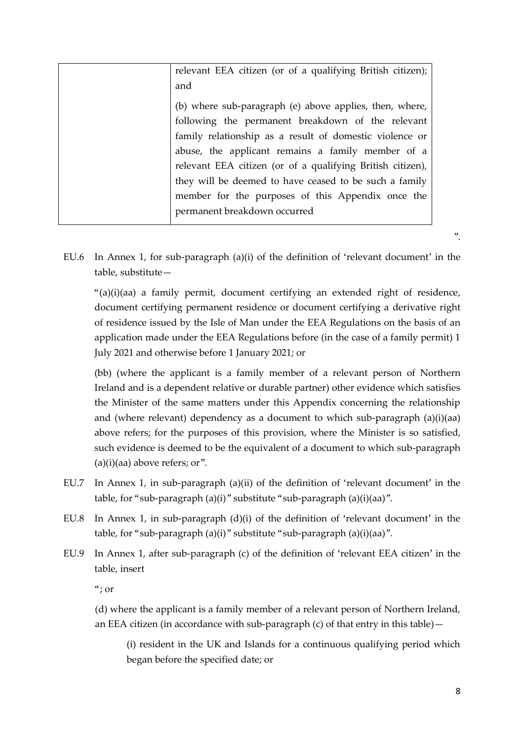| relevant EEA citizen (or of a qualifying British citizen); |
|------------------------------------------------------------|
| and                                                        |
| (b) where sub-paragraph (e) above applies, then, where,    |
| following the permanent breakdown of the relevant          |
| family relationship as a result of domestic violence or    |
| abuse, the applicant remains a family member of a          |
| relevant EEA citizen (or of a qualifying British citizen), |
| they will be deemed to have ceased to be such a family     |
| member for the purposes of this Appendix once the          |
| permanent breakdown occurred                               |

- ".
- EU.6 In Annex 1, for sub-paragraph (a)(i) of the definition of 'relevant document' in the table, substitute—

"(a)(i)(aa) a family permit, document certifying an extended right of residence, document certifying permanent residence or document certifying a derivative right of residence issued by the Isle of Man under the EEA Regulations on the basis of an application made under the EEA Regulations before (in the case of a family permit) 1 July 2021 and otherwise before 1 January 2021; or

(bb) (where the applicant is a family member of a relevant person of Northern Ireland and is a dependent relative or durable partner) other evidence which satisfies the Minister of the same matters under this Appendix concerning the relationship and (where relevant) dependency as a document to which sub-paragraph (a)(i)(aa) above refers; for the purposes of this provision, where the Minister is so satisfied, such evidence is deemed to be the equivalent of a document to which sub-paragraph  $(a)(i)(aa)$  above refers; or".

- EU.7 In Annex 1, in sub-paragraph (a)(ii) of the definition of 'relevant document' in the table, for "sub-paragraph (a)(i)" substitute "sub-paragraph (a)(i)(aa)".
- EU.8 In Annex 1, in sub-paragraph (d)(i) of the definition of 'relevant document' in the table, for "sub-paragraph (a)(i)" substitute "sub-paragraph (a)(i)(aa)".
- EU.9 In Annex 1, after sub-paragraph (c) of the definition of 'relevant EEA citizen' in the table, insert

 $\alpha$ ; or

(d) where the applicant is a family member of a relevant person of Northern Ireland, an EEA citizen (in accordance with sub-paragraph (c) of that entry in this table)—

(i) resident in the UK and Islands for a continuous qualifying period which began before the specified date; or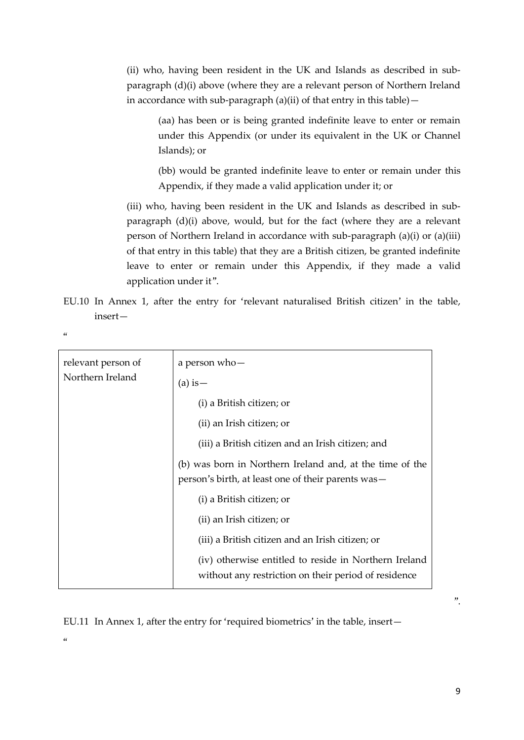(ii) who, having been resident in the UK and Islands as described in subparagraph (d)(i) above (where they are a relevant person of Northern Ireland in accordance with sub-paragraph (a)(ii) of that entry in this table) $-$ 

(aa) has been or is being granted indefinite leave to enter or remain under this Appendix (or under its equivalent in the UK or Channel Islands); or

(bb) would be granted indefinite leave to enter or remain under this Appendix, if they made a valid application under it; or

(iii) who, having been resident in the UK and Islands as described in subparagraph (d)(i) above, would, but for the fact (where they are a relevant person of Northern Ireland in accordance with sub-paragraph (a)(i) or (a)(iii) of that entry in this table) that they are a British citizen, be granted indefinite leave to enter or remain under this Appendix, if they made a valid application under it".

EU.10 In Annex 1, after the entry for 'relevant naturalised British citizen' in the table, insert—

 $\alpha$ 

| relevant person of<br>Northern Ireland<br>$(a)$ is $-$ | a person who-                                                                                                                                                                                                                                                                                                                                                                                                                                                |
|--------------------------------------------------------|--------------------------------------------------------------------------------------------------------------------------------------------------------------------------------------------------------------------------------------------------------------------------------------------------------------------------------------------------------------------------------------------------------------------------------------------------------------|
|                                                        | (i) a British citizen; or<br>(ii) an Irish citizen; or<br>(iii) a British citizen and an Irish citizen; and<br>(b) was born in Northern Ireland and, at the time of the<br>person's birth, at least one of their parents was—<br>(i) a British citizen; or<br>(ii) an Irish citizen; or<br>(iii) a British citizen and an Irish citizen; or<br>(iv) otherwise entitled to reside in Northern Ireland<br>without any restriction on their period of residence |

EU.11 In Annex 1, after the entry for 'required biometrics' in the table, insert—

 $\alpha$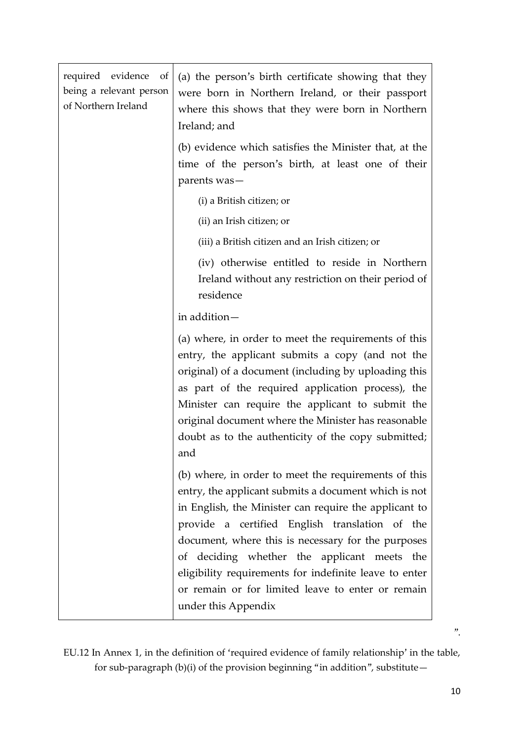| required evidence<br>of<br>being a relevant person<br>of Northern Ireland | (a) the person's birth certificate showing that they<br>were born in Northern Ireland, or their passport<br>where this shows that they were born in Northern<br>Ireland; and                                                                                                                                                                                                                                                                                       |
|---------------------------------------------------------------------------|--------------------------------------------------------------------------------------------------------------------------------------------------------------------------------------------------------------------------------------------------------------------------------------------------------------------------------------------------------------------------------------------------------------------------------------------------------------------|
|                                                                           | (b) evidence which satisfies the Minister that, at the<br>time of the person's birth, at least one of their<br>parents was-                                                                                                                                                                                                                                                                                                                                        |
|                                                                           | (i) a British citizen; or                                                                                                                                                                                                                                                                                                                                                                                                                                          |
|                                                                           | (ii) an Irish citizen; or                                                                                                                                                                                                                                                                                                                                                                                                                                          |
|                                                                           | (iii) a British citizen and an Irish citizen; or                                                                                                                                                                                                                                                                                                                                                                                                                   |
|                                                                           | (iv) otherwise entitled to reside in Northern<br>Ireland without any restriction on their period of<br>residence                                                                                                                                                                                                                                                                                                                                                   |
|                                                                           | in addition-                                                                                                                                                                                                                                                                                                                                                                                                                                                       |
|                                                                           | (a) where, in order to meet the requirements of this<br>entry, the applicant submits a copy (and not the<br>original) of a document (including by uploading this<br>as part of the required application process), the<br>Minister can require the applicant to submit the<br>original document where the Minister has reasonable<br>doubt as to the authenticity of the copy submitted;<br>and                                                                     |
|                                                                           | (b) where, in order to meet the requirements of this<br>entry, the applicant submits a document which is not<br>in English, the Minister can require the applicant to<br>provide a certified English translation of the<br>document, where this is necessary for the purposes<br>of deciding whether the applicant meets the<br>eligibility requirements for indefinite leave to enter<br>or remain or for limited leave to enter or remain<br>under this Appendix |

EU.12 In Annex 1, in the definition of 'required evidence of family relationship' in the table, for sub-paragraph (b)(i) of the provision beginning "in addition", substitute—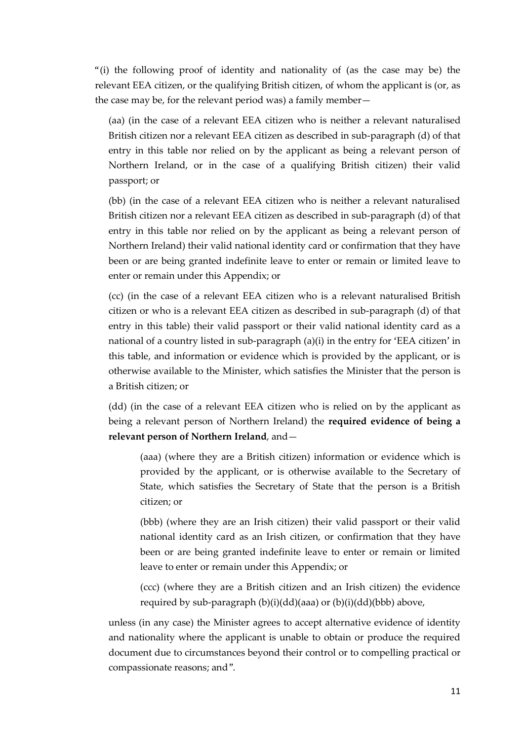"(i) the following proof of identity and nationality of (as the case may be) the relevant EEA citizen, or the qualifying British citizen, of whom the applicant is (or, as the case may be, for the relevant period was) a family member—

(aa) (in the case of a relevant EEA citizen who is neither a relevant naturalised British citizen nor a relevant EEA citizen as described in sub-paragraph (d) of that entry in this table nor relied on by the applicant as being a relevant person of Northern Ireland, or in the case of a qualifying British citizen) their valid passport; or

(bb) (in the case of a relevant EEA citizen who is neither a relevant naturalised British citizen nor a relevant EEA citizen as described in sub-paragraph (d) of that entry in this table nor relied on by the applicant as being a relevant person of Northern Ireland) their valid national identity card or confirmation that they have been or are being granted indefinite leave to enter or remain or limited leave to enter or remain under this Appendix; or

(cc) (in the case of a relevant EEA citizen who is a relevant naturalised British citizen or who is a relevant EEA citizen as described in sub-paragraph (d) of that entry in this table) their valid passport or their valid national identity card as a national of a country listed in sub-paragraph (a)(i) in the entry for 'EEA citizen' in this table, and information or evidence which is provided by the applicant, or is otherwise available to the Minister, which satisfies the Minister that the person is a British citizen; or

(dd) (in the case of a relevant EEA citizen who is relied on by the applicant as being a relevant person of Northern Ireland) the **required evidence of being a relevant person of Northern Ireland**, and—

(aaa) (where they are a British citizen) information or evidence which is provided by the applicant, or is otherwise available to the Secretary of State, which satisfies the Secretary of State that the person is a British citizen; or

(bbb) (where they are an Irish citizen) their valid passport or their valid national identity card as an Irish citizen, or confirmation that they have been or are being granted indefinite leave to enter or remain or limited leave to enter or remain under this Appendix; or

(ccc) (where they are a British citizen and an Irish citizen) the evidence required by sub-paragraph (b)(i)(dd)(aaa) or (b)(i)(dd)(bbb) above,

unless (in any case) the Minister agrees to accept alternative evidence of identity and nationality where the applicant is unable to obtain or produce the required document due to circumstances beyond their control or to compelling practical or compassionate reasons; and".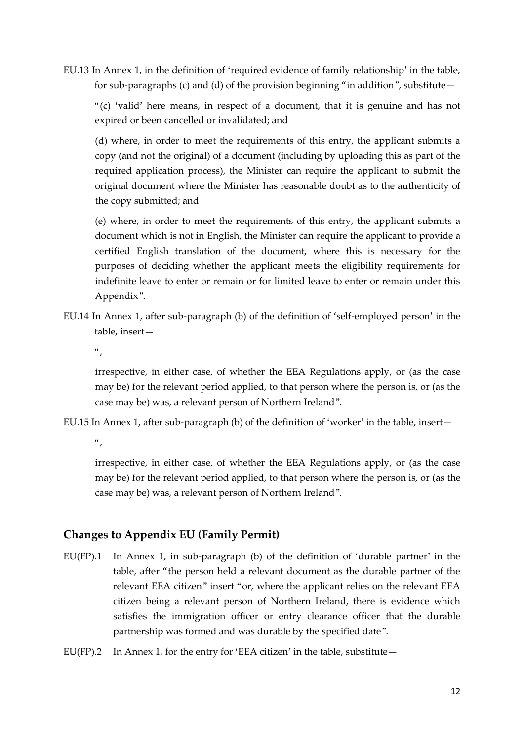EU.13 In Annex 1, in the definition of 'required evidence of family relationship' in the table, for sub-paragraphs (c) and (d) of the provision beginning "in addition", substitute  $-$ 

"(c) 'valid' here means, in respect of a document, that it is genuine and has not expired or been cancelled or invalidated; and

(d) where, in order to meet the requirements of this entry, the applicant submits a copy (and not the original) of a document (including by uploading this as part of the required application process), the Minister can require the applicant to submit the original document where the Minister has reasonable doubt as to the authenticity of the copy submitted; and

(e) where, in order to meet the requirements of this entry, the applicant submits a document which is not in English, the Minister can require the applicant to provide a certified English translation of the document, where this is necessary for the purposes of deciding whether the applicant meets the eligibility requirements for indefinite leave to enter or remain or for limited leave to enter or remain under this Appendix".

EU.14 In Annex 1, after sub-paragraph (b) of the definition of 'self-employed person' in the table, insert—

 $\frac{a}{\sqrt{a}}$ 

irrespective, in either case, of whether the EEA Regulations apply, or (as the case may be) for the relevant period applied, to that person where the person is, or (as the case may be) was, a relevant person of Northern Ireland".

EU.15 In Annex 1, after sub-paragraph (b) of the definition of 'worker' in the table, insert—

 $\alpha$ 

irrespective, in either case, of whether the EEA Regulations apply, or (as the case may be) for the relevant period applied, to that person where the person is, or (as the case may be) was, a relevant person of Northern Ireland".

## **Changes to Appendix EU (Family Permit)**

- EU(FP).1 In Annex 1, in sub-paragraph (b) of the definition of 'durable partner' in the table, after "the person held a relevant document as the durable partner of the relevant EEA citizen" insert "or, where the applicant relies on the relevant EEA citizen being a relevant person of Northern Ireland, there is evidence which satisfies the immigration officer or entry clearance officer that the durable partnership was formed and was durable by the specified date".
- EU(FP).2 In Annex 1, for the entry for 'EEA citizen' in the table, substitute—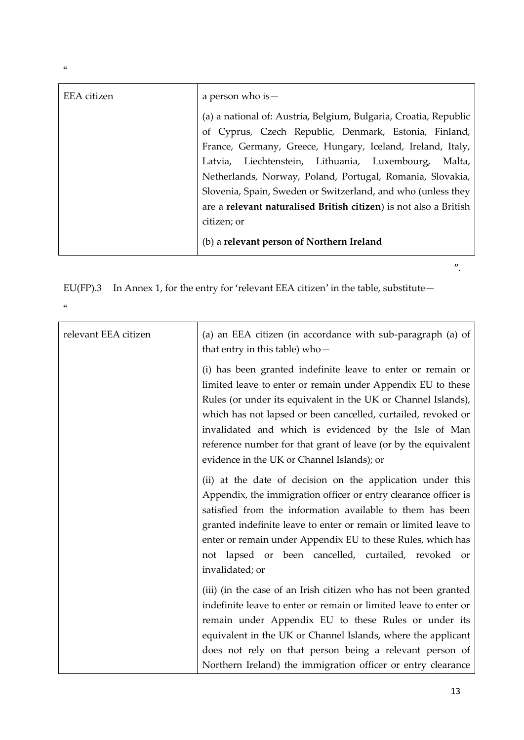| <b>EEA</b> citizen | a person who is -                                                 |
|--------------------|-------------------------------------------------------------------|
|                    | (a) a national of: Austria, Belgium, Bulgaria, Croatia, Republic  |
|                    | of Cyprus, Czech Republic, Denmark, Estonia, Finland,             |
|                    | France, Germany, Greece, Hungary, Iceland, Ireland, Italy,        |
|                    | Latvia, Liechtenstein, Lithuania, Luxembourg, Malta,              |
|                    | Netherlands, Norway, Poland, Portugal, Romania, Slovakia,         |
|                    | Slovenia, Spain, Sweden or Switzerland, and who (unless they      |
|                    | are a relevant naturalised British citizen) is not also a British |
|                    | citizen; or                                                       |
|                    | (b) a relevant person of Northern Ireland                         |

EU(FP).3 In Annex 1, for the entry for 'relevant EEA citizen' in the table, substitute—

 $\alpha$ 

| relevant EEA citizen | (a) an EEA citizen (in accordance with sub-paragraph (a) of<br>that entry in this table) who-                                                                                                                                                                                                                                                                                                                                         |
|----------------------|---------------------------------------------------------------------------------------------------------------------------------------------------------------------------------------------------------------------------------------------------------------------------------------------------------------------------------------------------------------------------------------------------------------------------------------|
|                      | (i) has been granted indefinite leave to enter or remain or<br>limited leave to enter or remain under Appendix EU to these<br>Rules (or under its equivalent in the UK or Channel Islands),<br>which has not lapsed or been cancelled, curtailed, revoked or<br>invalidated and which is evidenced by the Isle of Man<br>reference number for that grant of leave (or by the equivalent<br>evidence in the UK or Channel Islands); or |
|                      | (ii) at the date of decision on the application under this<br>Appendix, the immigration officer or entry clearance officer is<br>satisfied from the information available to them has been<br>granted indefinite leave to enter or remain or limited leave to<br>enter or remain under Appendix EU to these Rules, which has<br>not lapsed or been cancelled, curtailed, revoked or<br>invalidated; or                                |
|                      | (iii) (in the case of an Irish citizen who has not been granted<br>indefinite leave to enter or remain or limited leave to enter or<br>remain under Appendix EU to these Rules or under its<br>equivalent in the UK or Channel Islands, where the applicant<br>does not rely on that person being a relevant person of<br>Northern Ireland) the immigration officer or entry clearance                                                |

 $\alpha$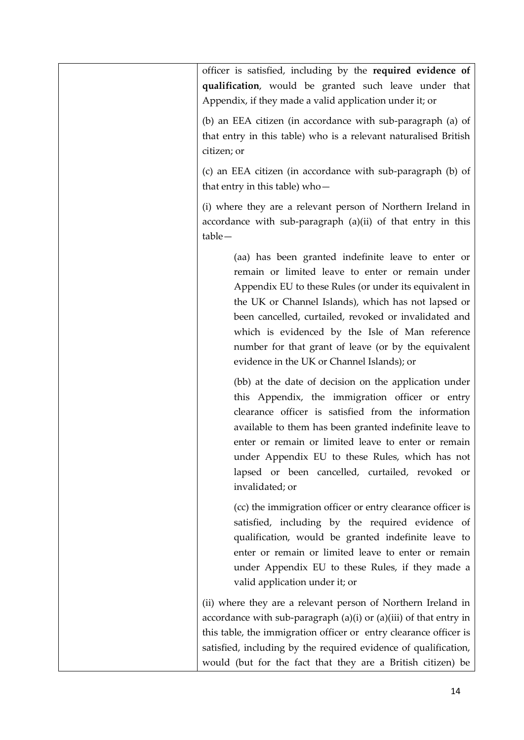officer is satisfied, including by the **required evidence of qualification**, would be granted such leave under that Appendix, if they made a valid application under it; or

(b) an EEA citizen (in accordance with sub-paragraph (a) of that entry in this table) who is a relevant naturalised British citizen; or

(c) an EEA citizen (in accordance with sub-paragraph (b) of that entry in this table) who—

(i) where they are a relevant person of Northern Ireland in accordance with sub-paragraph (a)(ii) of that entry in this table—

> (aa) has been granted indefinite leave to enter or remain or limited leave to enter or remain under Appendix EU to these Rules (or under its equivalent in the UK or Channel Islands), which has not lapsed or been cancelled, curtailed, revoked or invalidated and which is evidenced by the Isle of Man reference number for that grant of leave (or by the equivalent evidence in the UK or Channel Islands); or

> (bb) at the date of decision on the application under this Appendix, the immigration officer or entry clearance officer is satisfied from the information available to them has been granted indefinite leave to enter or remain or limited leave to enter or remain under Appendix EU to these Rules, which has not lapsed or been cancelled, curtailed, revoked or invalidated; or

> (cc) the immigration officer or entry clearance officer is satisfied, including by the required evidence of qualification, would be granted indefinite leave to enter or remain or limited leave to enter or remain under Appendix EU to these Rules, if they made a valid application under it; or

(ii) where they are a relevant person of Northern Ireland in accordance with sub-paragraph  $(a)(i)$  or  $(a)(iii)$  of that entry in this table, the immigration officer or entry clearance officer is satisfied, including by the required evidence of qualification, would (but for the fact that they are a British citizen) be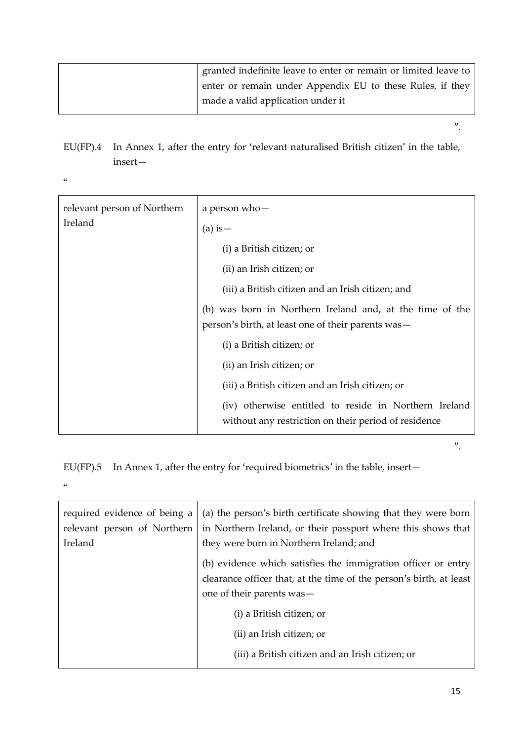| granted indefinite leave to enter or remain or limited leave to |
|-----------------------------------------------------------------|
| enter or remain under Appendix EU to these Rules, if they       |
| made a valid application under it                               |

EU(FP).4 In Annex 1, after the entry for 'relevant naturalised British citizen' in the table, insert—

 $\alpha$ 

| relevant person of Northern<br>Ireland | a person who-<br>$(a)$ is $-$                                                                                  |
|----------------------------------------|----------------------------------------------------------------------------------------------------------------|
|                                        | (i) a British citizen; or                                                                                      |
|                                        | (ii) an Irish citizen; or                                                                                      |
|                                        | (iii) a British citizen and an Irish citizen; and                                                              |
|                                        | (b) was born in Northern Ireland and, at the time of the<br>person's birth, at least one of their parents was— |
|                                        | (i) a British citizen; or                                                                                      |
|                                        | (ii) an Irish citizen; or                                                                                      |
|                                        | (iii) a British citizen and an Irish citizen; or                                                               |
|                                        | (iv) otherwise entitled to reside in Northern Ireland<br>without any restriction on their period of residence  |

EU(FP).5 In Annex 1, after the entry for 'required biometrics' in the table, insert—  $\alpha$ 

| required evidence of being a<br>relevant person of Northern<br>Ireland | (a) the person's birth certificate showing that they were born<br>in Northern Ireland, or their passport where this shows that<br>they were born in Northern Ireland; and |
|------------------------------------------------------------------------|---------------------------------------------------------------------------------------------------------------------------------------------------------------------------|
|                                                                        | (b) evidence which satisfies the immigration officer or entry<br>clearance officer that, at the time of the person's birth, at least<br>one of their parents was-         |
|                                                                        | (i) a British citizen; or                                                                                                                                                 |
|                                                                        | (ii) an Irish citizen; or                                                                                                                                                 |
|                                                                        | (iii) a British citizen and an Irish citizen; or                                                                                                                          |

".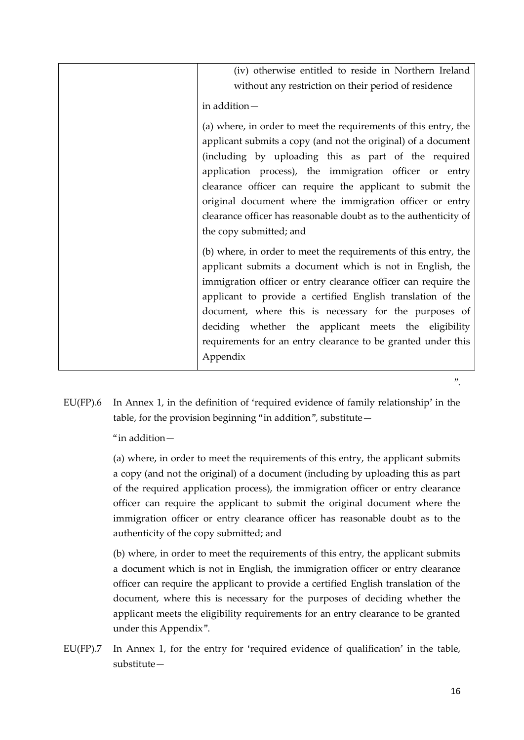| (iv) otherwise entitled to reside in Northern Ireland<br>without any restriction on their period of residence                                                                                                                                                                                                                                                                                                                                                              |
|----------------------------------------------------------------------------------------------------------------------------------------------------------------------------------------------------------------------------------------------------------------------------------------------------------------------------------------------------------------------------------------------------------------------------------------------------------------------------|
| in addition-                                                                                                                                                                                                                                                                                                                                                                                                                                                               |
| (a) where, in order to meet the requirements of this entry, the<br>applicant submits a copy (and not the original) of a document<br>(including by uploading this as part of the required<br>application process), the immigration officer or entry<br>clearance officer can require the applicant to submit the<br>original document where the immigration officer or entry<br>clearance officer has reasonable doubt as to the authenticity of<br>the copy submitted; and |
| (b) where, in order to meet the requirements of this entry, the<br>applicant submits a document which is not in English, the<br>immigration officer or entry clearance officer can require the<br>applicant to provide a certified English translation of the<br>document, where this is necessary for the purposes of<br>deciding whether the applicant meets the eligibility<br>requirements for an entry clearance to be granted under this<br>Appendix                 |

EU(FP).6 In Annex 1, in the definition of 'required evidence of family relationship' in the table, for the provision beginning "in addition", substitute—

"in addition—

(a) where, in order to meet the requirements of this entry, the applicant submits a copy (and not the original) of a document (including by uploading this as part of the required application process), the immigration officer or entry clearance officer can require the applicant to submit the original document where the immigration officer or entry clearance officer has reasonable doubt as to the authenticity of the copy submitted; and

(b) where, in order to meet the requirements of this entry, the applicant submits a document which is not in English, the immigration officer or entry clearance officer can require the applicant to provide a certified English translation of the document, where this is necessary for the purposes of deciding whether the applicant meets the eligibility requirements for an entry clearance to be granted under this Appendix".

EU(FP).7 In Annex 1, for the entry for 'required evidence of qualification' in the table, substitute—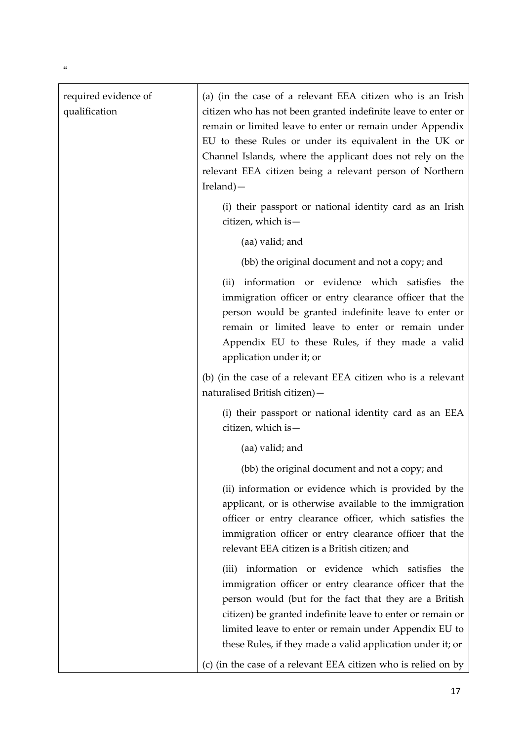| required evidence of<br>qualification | (a) (in the case of a relevant EEA citizen who is an Irish<br>citizen who has not been granted indefinite leave to enter or<br>remain or limited leave to enter or remain under Appendix<br>EU to these Rules or under its equivalent in the UK or<br>Channel Islands, where the applicant does not rely on the<br>relevant EEA citizen being a relevant person of Northern<br>$I$ reland) — |
|---------------------------------------|----------------------------------------------------------------------------------------------------------------------------------------------------------------------------------------------------------------------------------------------------------------------------------------------------------------------------------------------------------------------------------------------|
|                                       | (i) their passport or national identity card as an Irish<br>citizen, which is $-$                                                                                                                                                                                                                                                                                                            |
|                                       | (aa) valid; and                                                                                                                                                                                                                                                                                                                                                                              |
|                                       | (bb) the original document and not a copy; and                                                                                                                                                                                                                                                                                                                                               |
|                                       | information or evidence which satisfies the<br>(ii)<br>immigration officer or entry clearance officer that the<br>person would be granted indefinite leave to enter or<br>remain or limited leave to enter or remain under<br>Appendix EU to these Rules, if they made a valid<br>application under it; or                                                                                   |
|                                       | (b) (in the case of a relevant EEA citizen who is a relevant<br>naturalised British citizen)-                                                                                                                                                                                                                                                                                                |
|                                       | (i) their passport or national identity card as an EEA<br>citizen, which is -                                                                                                                                                                                                                                                                                                                |
|                                       | (aa) valid; and                                                                                                                                                                                                                                                                                                                                                                              |
|                                       | (bb) the original document and not a copy; and                                                                                                                                                                                                                                                                                                                                               |
|                                       | (ii) information or evidence which is provided by the<br>applicant, or is otherwise available to the immigration<br>officer or entry clearance officer, which satisfies the<br>immigration officer or entry clearance officer that the<br>relevant EEA citizen is a British citizen; and                                                                                                     |
|                                       | information or evidence which satisfies<br>the<br>(iii)<br>immigration officer or entry clearance officer that the<br>person would (but for the fact that they are a British<br>citizen) be granted indefinite leave to enter or remain or<br>limited leave to enter or remain under Appendix EU to<br>these Rules, if they made a valid application under it; or                            |
|                                       | (c) (in the case of a relevant EEA citizen who is relied on by                                                                                                                                                                                                                                                                                                                               |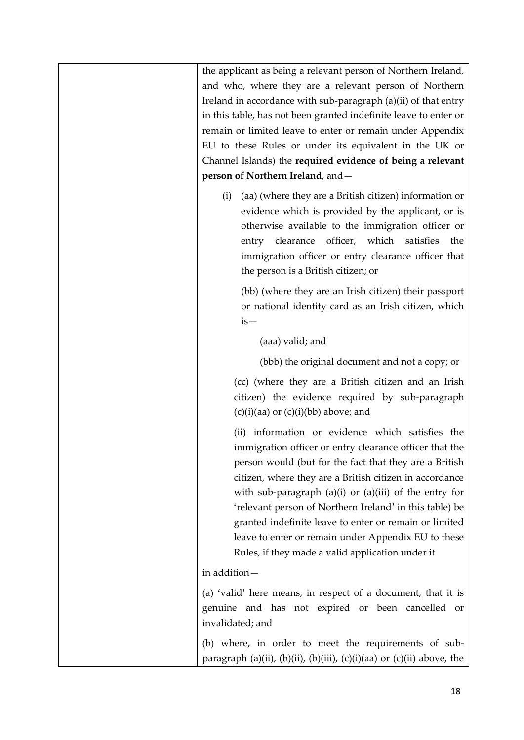| the applicant as being a relevant person of Northern Ireland,                                                                                                                                                                                                                                                                                                                                                                                                                                                                  |
|--------------------------------------------------------------------------------------------------------------------------------------------------------------------------------------------------------------------------------------------------------------------------------------------------------------------------------------------------------------------------------------------------------------------------------------------------------------------------------------------------------------------------------|
| and who, where they are a relevant person of Northern                                                                                                                                                                                                                                                                                                                                                                                                                                                                          |
| Ireland in accordance with sub-paragraph (a)(ii) of that entry                                                                                                                                                                                                                                                                                                                                                                                                                                                                 |
| in this table, has not been granted indefinite leave to enter or                                                                                                                                                                                                                                                                                                                                                                                                                                                               |
| remain or limited leave to enter or remain under Appendix                                                                                                                                                                                                                                                                                                                                                                                                                                                                      |
| EU to these Rules or under its equivalent in the UK or                                                                                                                                                                                                                                                                                                                                                                                                                                                                         |
| Channel Islands) the required evidence of being a relevant                                                                                                                                                                                                                                                                                                                                                                                                                                                                     |
| person of Northern Ireland, and -                                                                                                                                                                                                                                                                                                                                                                                                                                                                                              |
| (aa) (where they are a British citizen) information or<br>(i)<br>evidence which is provided by the applicant, or is<br>otherwise available to the immigration officer or<br>officer, which satisfies<br>clearance<br>entry<br>the<br>immigration officer or entry clearance officer that<br>the person is a British citizen; or                                                                                                                                                                                                |
| (bb) (where they are an Irish citizen) their passport<br>or national identity card as an Irish citizen, which<br>$is-$                                                                                                                                                                                                                                                                                                                                                                                                         |
| (aaa) valid; and                                                                                                                                                                                                                                                                                                                                                                                                                                                                                                               |
| (bbb) the original document and not a copy; or                                                                                                                                                                                                                                                                                                                                                                                                                                                                                 |
| (cc) (where they are a British citizen and an Irish<br>citizen) the evidence required by sub-paragraph<br>$(c)(i)(aa)$ or $(c)(i)(bb)$ above; and                                                                                                                                                                                                                                                                                                                                                                              |
| (ii) information or evidence which satisfies the<br>immigration officer or entry clearance officer that the<br>person would (but for the fact that they are a British<br>citizen, where they are a British citizen in accordance<br>with sub-paragraph $(a)(i)$ or $(a)(iii)$ of the entry for<br>'relevant person of Northern Ireland' in this table) be<br>granted indefinite leave to enter or remain or limited<br>leave to enter or remain under Appendix EU to these<br>Rules, if they made a valid application under it |
| in addition-                                                                                                                                                                                                                                                                                                                                                                                                                                                                                                                   |
| (a) 'valid' here means, in respect of a document, that it is<br>genuine and has not expired or been cancelled or<br>invalidated; and                                                                                                                                                                                                                                                                                                                                                                                           |
| (b) where, in order to meet the requirements of sub-<br>paragraph (a)(ii), (b)(ii), (b)(iii), (c)(i)(aa) or (c)(ii) above, the                                                                                                                                                                                                                                                                                                                                                                                                 |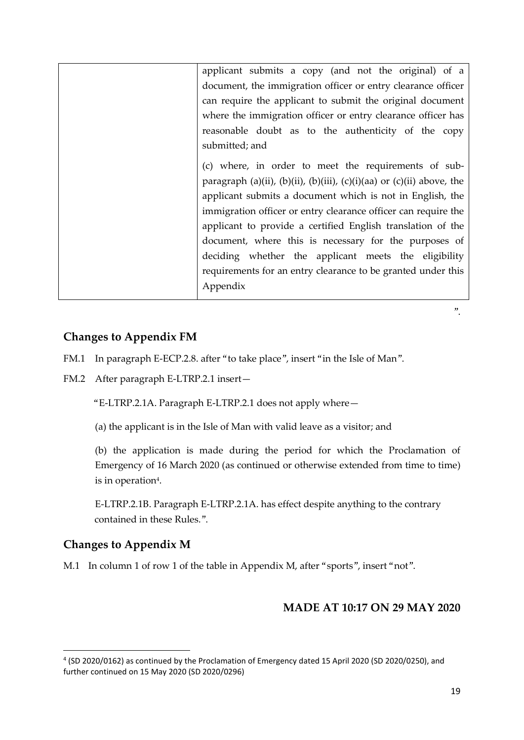| applicant submits a copy (and not the original) of a                   |
|------------------------------------------------------------------------|
| document, the immigration officer or entry clearance officer           |
| can require the applicant to submit the original document              |
| where the immigration officer or entry clearance officer has           |
| reasonable doubt as to the authenticity of the copy                    |
| submitted; and                                                         |
| (c) where, in order to meet the requirements of sub-                   |
| paragraph (a)(ii), (b)(ii), (b)(iii), (c)(i)(aa) or (c)(ii) above, the |
| applicant submits a document which is not in English, the              |
| immigration officer or entry clearance officer can require the         |
| applicant to provide a certified English translation of the            |
| document, where this is necessary for the purposes of                  |
| deciding whether the applicant meets the eligibility                   |
| requirements for an entry clearance to be granted under this           |
| Appendix                                                               |
|                                                                        |

# **Changes to Appendix FM**

FM.1 In paragraph E-ECP.2.8. after "to take place", insert "in the Isle of Man".

FM.2 After paragraph E-LTRP.2.1 insert—

"E-LTRP.2.1A. Paragraph E-LTRP.2.1 does not apply where—

(a) the applicant is in the Isle of Man with valid leave as a visitor; and

(b) the application is made during the period for which the Proclamation of Emergency of 16 March 2020 (as continued or otherwise extended from time to time) is in operation $\rm ^4.$ 

E-LTRP.2.1B. Paragraph E-LTRP.2.1A. has effect despite anything to the contrary contained in these Rules.".

### **Changes to Appendix M**

1

M.1 In column 1 of row 1 of the table in Appendix M, after "sports", insert "not".

## **MADE AT 10:17 ON 29 MAY 2020**

<sup>4</sup> (SD 2020/0162) as continued by the Proclamation of Emergency dated 15 April 2020 (SD 2020/0250), and further continued on 15 May 2020 (SD 2020/0296)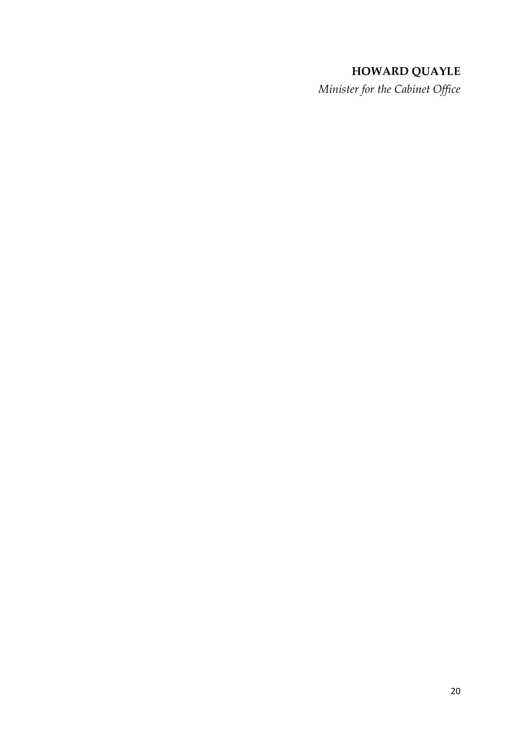## **HOWARD QUAYLE**

*Minister for the Cabinet Office*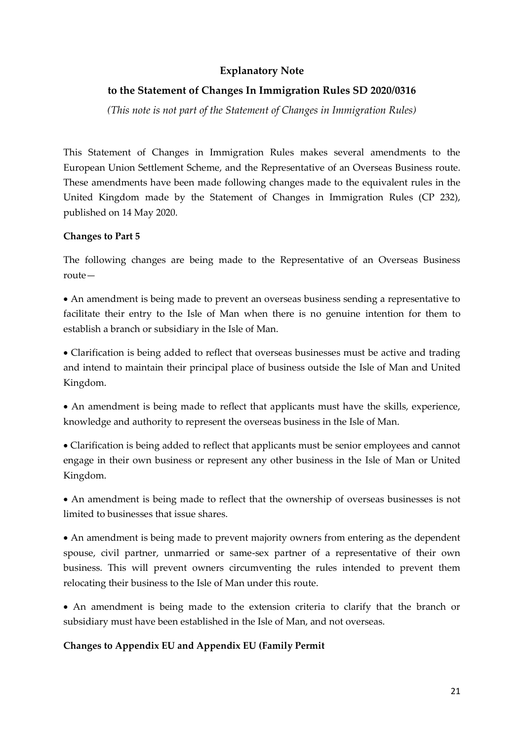## **Explanatory Note**

### **to the Statement of Changes In Immigration Rules SD 2020/0316**

*(This note is not part of the Statement of Changes in Immigration Rules)*

This Statement of Changes in Immigration Rules makes several amendments to the European Union Settlement Scheme, and the Representative of an Overseas Business route. These amendments have been made following changes made to the equivalent rules in the United Kingdom made by the Statement of Changes in Immigration Rules (CP 232), published on 14 May 2020.

### **Changes to Part 5**

The following changes are being made to the Representative of an Overseas Business route—

 An amendment is being made to prevent an overseas business sending a representative to facilitate their entry to the Isle of Man when there is no genuine intention for them to establish a branch or subsidiary in the Isle of Man.

 Clarification is being added to reflect that overseas businesses must be active and trading and intend to maintain their principal place of business outside the Isle of Man and United Kingdom.

 An amendment is being made to reflect that applicants must have the skills, experience, knowledge and authority to represent the overseas business in the Isle of Man.

 Clarification is being added to reflect that applicants must be senior employees and cannot engage in their own business or represent any other business in the Isle of Man or United Kingdom.

 An amendment is being made to reflect that the ownership of overseas businesses is not limited to businesses that issue shares.

 An amendment is being made to prevent majority owners from entering as the dependent spouse, civil partner, unmarried or same-sex partner of a representative of their own business. This will prevent owners circumventing the rules intended to prevent them relocating their business to the Isle of Man under this route.

 An amendment is being made to the extension criteria to clarify that the branch or subsidiary must have been established in the Isle of Man, and not overseas.

#### **Changes to Appendix EU and Appendix EU (Family Permit**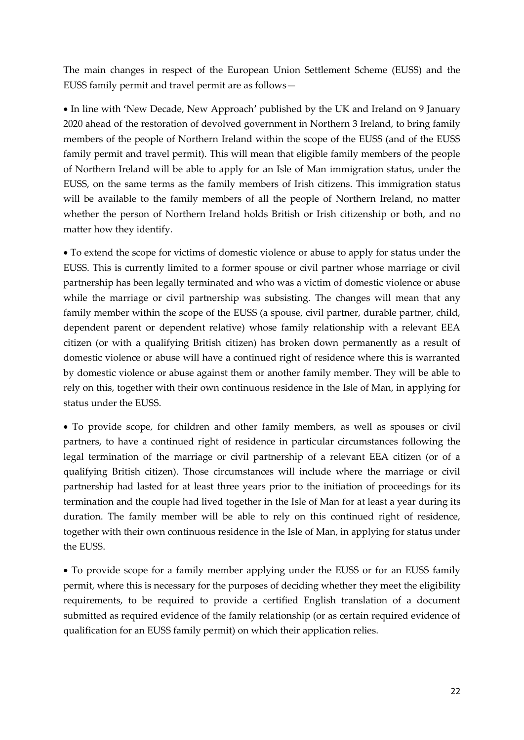The main changes in respect of the European Union Settlement Scheme (EUSS) and the EUSS family permit and travel permit are as follows—

 In line with 'New Decade, New Approach' published by the UK and Ireland on 9 January 2020 ahead of the restoration of devolved government in Northern 3 Ireland, to bring family members of the people of Northern Ireland within the scope of the EUSS (and of the EUSS family permit and travel permit). This will mean that eligible family members of the people of Northern Ireland will be able to apply for an Isle of Man immigration status, under the EUSS, on the same terms as the family members of Irish citizens. This immigration status will be available to the family members of all the people of Northern Ireland, no matter whether the person of Northern Ireland holds British or Irish citizenship or both, and no matter how they identify.

 To extend the scope for victims of domestic violence or abuse to apply for status under the EUSS. This is currently limited to a former spouse or civil partner whose marriage or civil partnership has been legally terminated and who was a victim of domestic violence or abuse while the marriage or civil partnership was subsisting. The changes will mean that any family member within the scope of the EUSS (a spouse, civil partner, durable partner, child, dependent parent or dependent relative) whose family relationship with a relevant EEA citizen (or with a qualifying British citizen) has broken down permanently as a result of domestic violence or abuse will have a continued right of residence where this is warranted by domestic violence or abuse against them or another family member. They will be able to rely on this, together with their own continuous residence in the Isle of Man, in applying for status under the EUSS.

 To provide scope, for children and other family members, as well as spouses or civil partners, to have a continued right of residence in particular circumstances following the legal termination of the marriage or civil partnership of a relevant EEA citizen (or of a qualifying British citizen). Those circumstances will include where the marriage or civil partnership had lasted for at least three years prior to the initiation of proceedings for its termination and the couple had lived together in the Isle of Man for at least a year during its duration. The family member will be able to rely on this continued right of residence, together with their own continuous residence in the Isle of Man, in applying for status under the EUSS.

 To provide scope for a family member applying under the EUSS or for an EUSS family permit, where this is necessary for the purposes of deciding whether they meet the eligibility requirements, to be required to provide a certified English translation of a document submitted as required evidence of the family relationship (or as certain required evidence of qualification for an EUSS family permit) on which their application relies.